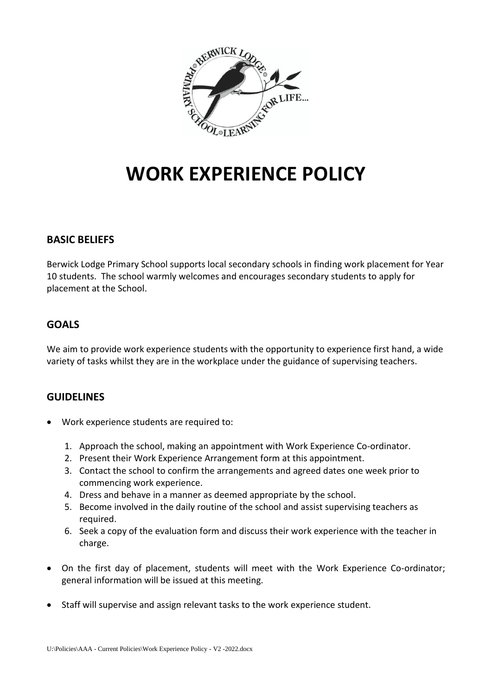

# **WORK EXPERIENCE POLICY**

### **BASIC BELIEFS**

Berwick Lodge Primary School supports local secondary schools in finding work placement for Year 10 students. The school warmly welcomes and encourages secondary students to apply for placement at the School.

## **GOALS**

We aim to provide work experience students with the opportunity to experience first hand, a wide variety of tasks whilst they are in the workplace under the guidance of supervising teachers.

### **GUIDELINES**

- Work experience students are required to:
	- 1. Approach the school, making an appointment with Work Experience Co-ordinator.
	- 2. Present their Work Experience Arrangement form at this appointment.
	- 3. Contact the school to confirm the arrangements and agreed dates one week prior to commencing work experience.
	- 4. Dress and behave in a manner as deemed appropriate by the school.
	- 5. Become involved in the daily routine of the school and assist supervising teachers as required.
	- 6. Seek a copy of the evaluation form and discuss their work experience with the teacher in charge.
- On the first day of placement, students will meet with the Work Experience Co-ordinator; general information will be issued at this meeting.
- Staff will supervise and assign relevant tasks to the work experience student.